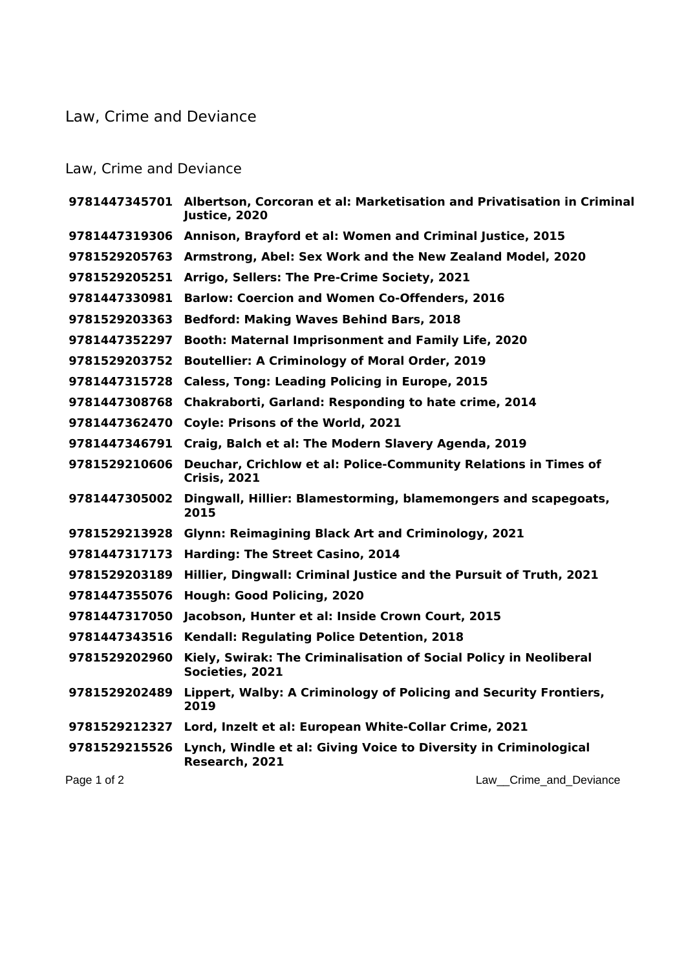## Law, Crime and Deviance

## Law, Crime and Deviance

|               | 9781447345701 Albertson, Corcoran et al: Marketisation and Privatisation in Criminal<br>Justice, 2020 |
|---------------|-------------------------------------------------------------------------------------------------------|
|               | 9781447319306 Annison, Brayford et al: Women and Criminal Justice, 2015                               |
|               | 9781529205763 Armstrong, Abel: Sex Work and the New Zealand Model, 2020                               |
| 9781529205251 | Arrigo, Sellers: The Pre-Crime Society, 2021                                                          |
| 9781447330981 | <b>Barlow: Coercion and Women Co-Offenders, 2016</b>                                                  |
| 9781529203363 | <b>Bedford: Making Waves Behind Bars, 2018</b>                                                        |
| 9781447352297 | Booth: Maternal Imprisonment and Family Life, 2020                                                    |
| 9781529203752 | <b>Boutellier: A Criminology of Moral Order, 2019</b>                                                 |
| 9781447315728 | <b>Caless, Tong: Leading Policing in Europe, 2015</b>                                                 |
| 9781447308768 | Chakraborti, Garland: Responding to hate crime, 2014                                                  |
|               | 9781447362470 Coyle: Prisons of the World, 2021                                                       |
| 9781447346791 | Craig, Balch et al: The Modern Slavery Agenda, 2019                                                   |
| 9781529210606 | Deuchar, Crichlow et al: Police-Community Relations in Times of<br><b>Crisis, 2021</b>                |
| 9781447305002 | Dingwall, Hillier: Blamestorming, blamemongers and scapegoats,<br>2015                                |
|               | 9781529213928 Glynn: Reimagining Black Art and Criminology, 2021                                      |
| 9781447317173 | Harding: The Street Casino, 2014                                                                      |
| 9781529203189 | Hillier, Dingwall: Criminal Justice and the Pursuit of Truth, 2021                                    |
| 9781447355076 | Hough: Good Policing, 2020                                                                            |
| 9781447317050 | Jacobson, Hunter et al: Inside Crown Court, 2015                                                      |
| 9781447343516 | Kendall: Regulating Police Detention, 2018                                                            |
| 9781529202960 | Kiely, Swirak: The Criminalisation of Social Policy in Neoliberal<br>Societies, 2021                  |
| 9781529202489 | Lippert, Walby: A Criminology of Policing and Security Frontiers,<br>2019                             |
|               | 9781529212327 Lord, Inzelt et al: European White-Collar Crime, 2021                                   |
| 9781529215526 | Lynch, Windle et al: Giving Voice to Diversity in Criminological<br>Research, 2021                    |
| Page 1 of 2   | Crime and Deviance<br>Law                                                                             |